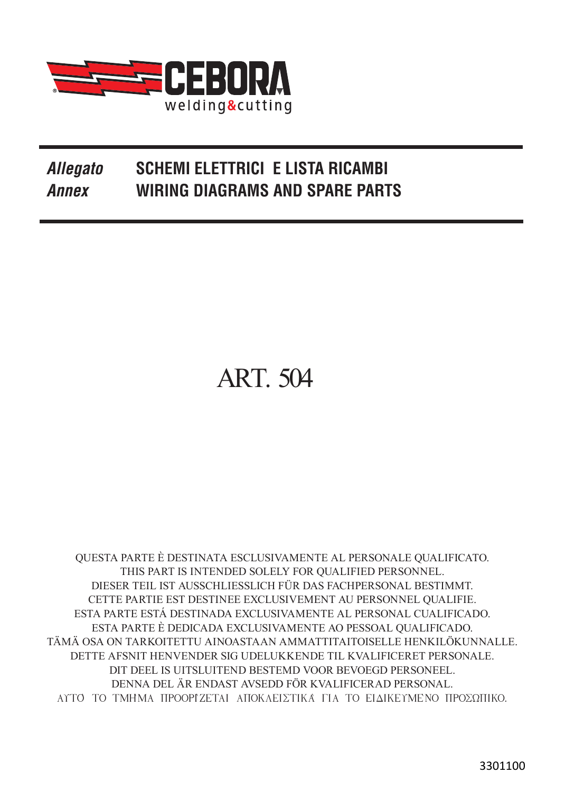

## **Allegato SCHEMI ELETTRICI E LISTA RICAMBI Annex WIRING DIAGRAMS AND SPARE PARTS**

## **ART. 504**

QUESTA PARTE È DESTINATA ESCLUSIVAMENTE AL PERSONALE QUALIFICATO. THIS PART IS INTENDED SOLELY FOR QUALIFIED PERSONNEL. DIESER TEIL IST AUSSCHLIESSLICH FÜR DAS FACHPERSONAL BESTIMMT. CETTE PARTIE EST DESTINEE EXCLUSIVEMENT AU PERSONNEL QUALIFIE. ESTA PARTE ESTÁ DESTINADA EXCLUSIVAMENTE AL PERSONAL CUALIFICADO. ESTA PARTE È DEDICADA EXCLUSIVAMENTE AO PESSOAL QUALIFICADO. TÄMÄ OSA ON TARKOITETTU AINOASTAAN AMMATTITAITOISELLE HENKILÖKUNNALLE. DETTE AFSNIT HENVENDER SIG UDELUKKENDE TIL KVALIFICERET PERSONALE. DIT DEEL IS UITSLUITEND BESTEMD VOOR BEVOEGD PERSONEEL. DENNA DEL ÄR ENDAST AVSEDD FÖR KVALIFICERAD PERSONAL. ΑΥΤΟ ΤΟ ΤΜΗΜΑ ΠΡΟΟΡΙΖΕΤΑΙ ΑΠΟΚΛΕΙΣΤΙΚΑ ΓΙΑ ΤΟ ΕΙΔΙΚΕΥΜΕΝΟ ΠΡΟΣΩΠΙΚΟ.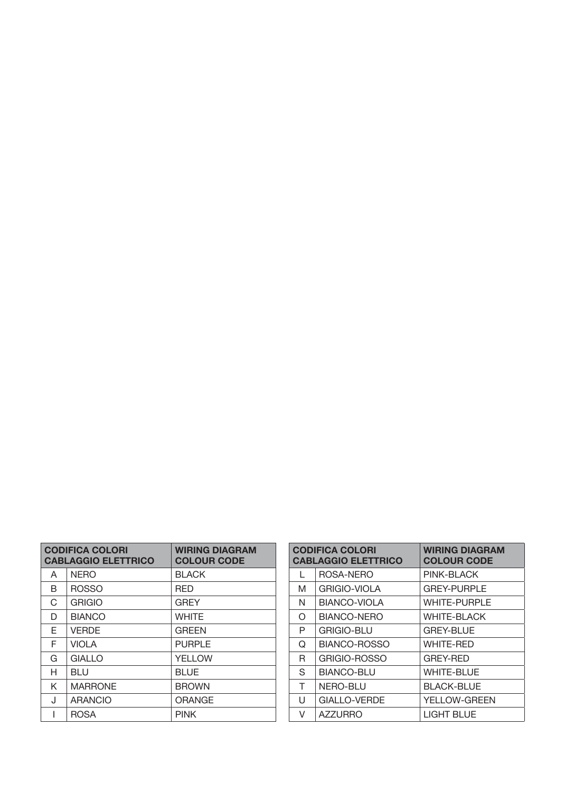|   | <b>CODIFICA COLORI</b><br><b>CABLAGGIO ELETTRICO</b> | <b>WIRING DIAGRAM</b><br><b>COLOUR CODE</b> |
|---|------------------------------------------------------|---------------------------------------------|
| A | <b>NERO</b>                                          | <b>BLACK</b>                                |
| B | <b>ROSSO</b>                                         | RFD                                         |
| C | <b>GRIGIO</b>                                        | <b>GREY</b>                                 |
| D | <b>BIANCO</b>                                        | <b>WHITE</b>                                |
| E | <b>VERDE</b>                                         | <b>GREEN</b>                                |
| F | <b>VIOLA</b>                                         | <b>PURPLE</b>                               |
| G | <b>GIALLO</b>                                        | <b>YELLOW</b>                               |
| н | BLU                                                  | <b>BLUE</b>                                 |
| K | <b>MARRONE</b>                                       | <b>BROWN</b>                                |
| J | <b>ARANCIO</b>                                       | <b>ORANGE</b>                               |
|   | <b>ROSA</b>                                          | <b>PINK</b>                                 |

| <b>CODIFICA COLORI</b><br><b>CABLAGGIO ELETTRICO</b> |                     | <b>WIRING DIAGRAM</b><br><b>COLOUR CODE</b> |
|------------------------------------------------------|---------------------|---------------------------------------------|
| L                                                    | ROSA-NERO           | PINK-BLACK                                  |
| M                                                    | <b>GRIGIO-VIOLA</b> | <b>GREY-PURPLE</b>                          |
| N                                                    | BIANCO-VIOLA        | <b>WHITE-PURPLE</b>                         |
| $\Omega$                                             | <b>BIANCO-NERO</b>  | <b>WHITE-BLACK</b>                          |
| P                                                    | <b>GRIGIO-BLU</b>   | <b>GREY-BLUE</b>                            |
| Q                                                    | BIANCO-ROSSO        | <b>WHITE-RED</b>                            |
| R                                                    | GRIGIO-ROSSO        | <b>GREY-RED</b>                             |
| S                                                    | <b>BIANCO-BLU</b>   | <b>WHITE-BLUE</b>                           |
| T                                                    | NERO-BLU            | <b>BLACK-BLUE</b>                           |
| U                                                    | <b>GIALLO-VERDE</b> | <b>YELLOW-GREEN</b>                         |
| V                                                    | <b>AZZURRO</b>      | <b>LIGHT BLUE</b>                           |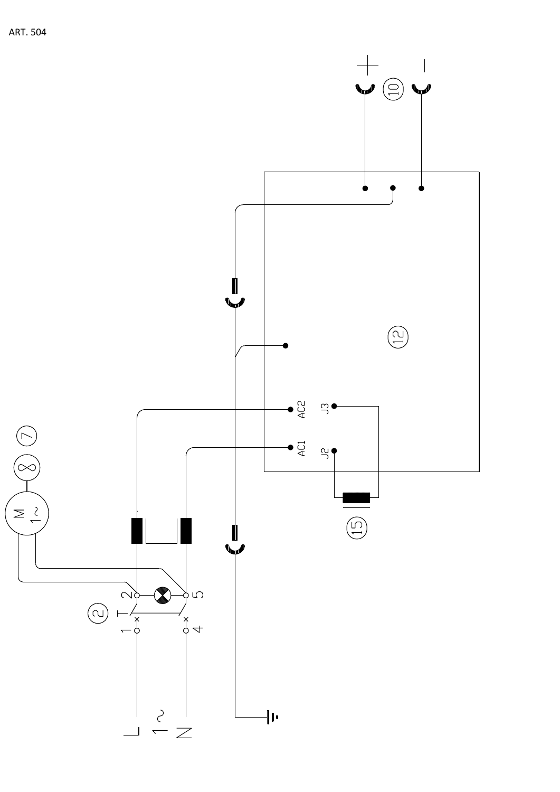

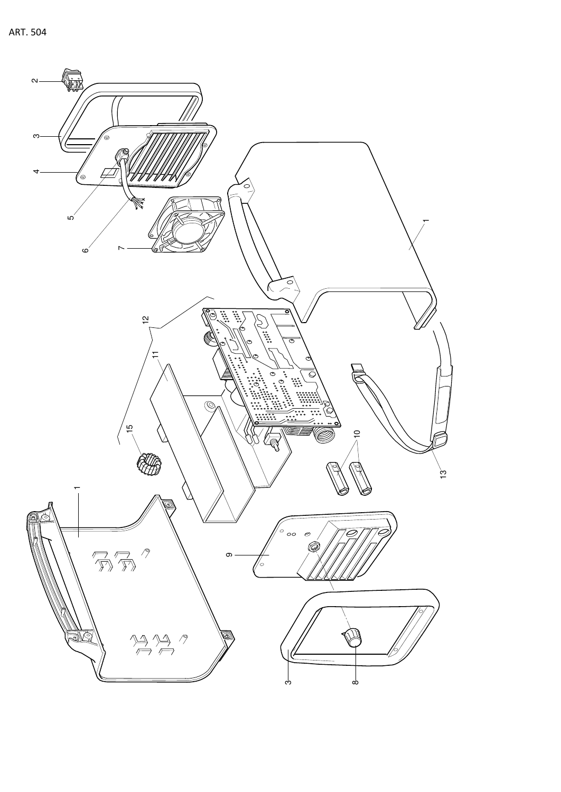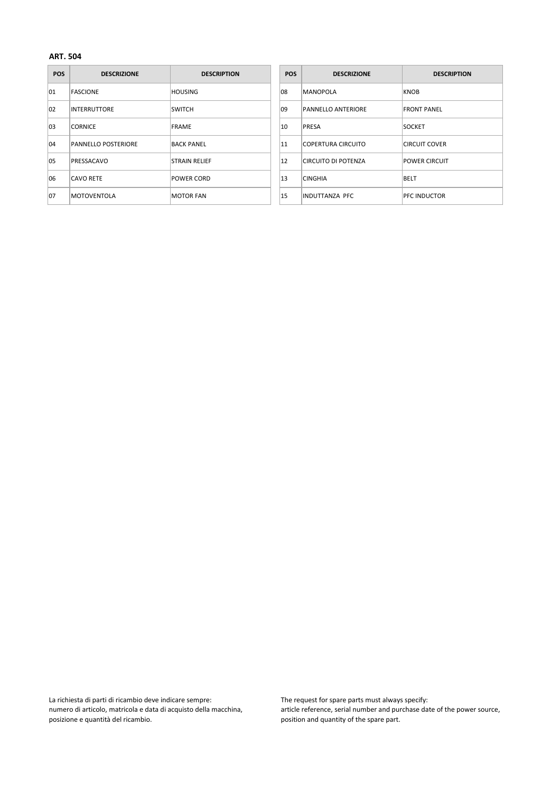| <b>POS</b> | <b>DESCRIZIONE</b>         | <b>DESCRIPTION</b>   | <b>POS</b> | <b>DESCRIZIONE</b>        | <b>DESCRIPTION</b>   |
|------------|----------------------------|----------------------|------------|---------------------------|----------------------|
| 01         | <b>FASCIONE</b>            | <b>HOUSING</b>       | 108        | MANOPOLA                  | KNOB                 |
| 102        | <b>INTERRUTTORE</b>        | <b>SWITCH</b>        | 09         | <b>PANNELLO ANTERIORE</b> | <b>FRONT PANEL</b>   |
| 03         | <b>CORNICE</b>             | FRAME                | 10         | PRESA                     | <b>SOCKET</b>        |
| 104        | <b>PANNELLO POSTERIORE</b> | <b>BACK PANEL</b>    | 11         | COPERTURA CIRCUITO        | ICIRCUIT COVER       |
| 105        | PRESSACAVO                 | <b>STRAIN RELIEF</b> | 12         | CIRCUITO DI POTENZA       | <b>POWER CIRCUIT</b> |
| 06         | <b>CAVO RETE</b>           | POWER CORD           | 13         | <b>CINGHIA</b>            | <b>BELT</b>          |
| 107        | <b>MOTOVENTOLA</b>         | <b>MOTOR FAN</b>     | 15         | INDUTTANZA PFC            | <b>PFC INDUCTOR</b>  |

| <b>POS</b> | <b>DESCRIZIONE</b>        | <b>DESCRIPTION</b>   |
|------------|---------------------------|----------------------|
| 08         | <b>MANOPOLA</b>           | <b>KNOB</b>          |
| 09         | <b>PANNELLO ANTERIORE</b> | <b>FRONT PANEL</b>   |
| 10         | <b>PRESA</b>              | <b>SOCKET</b>        |
| 11         | <b>COPERTURA CIRCUITO</b> | <b>CIRCUIT COVER</b> |
| 12         | CIRCUITO DI POTENZA       | <b>POWER CIRCUIT</b> |
| 13         | <b>CINGHIA</b>            | <b>BFLT</b>          |
| 15         | <b>INDUTTANZA PFC</b>     | PFC INDUCTOR         |

La richiesta di parti di ricambio deve indicare sempre: numero di articolo, matricola e data di acquisto della macchina, posizione e quantità del ricambio.

The request for spare parts must always specify: article reference, serial number and purchase date of the power source, position and quantity of the spare part.

## **ART. 504**